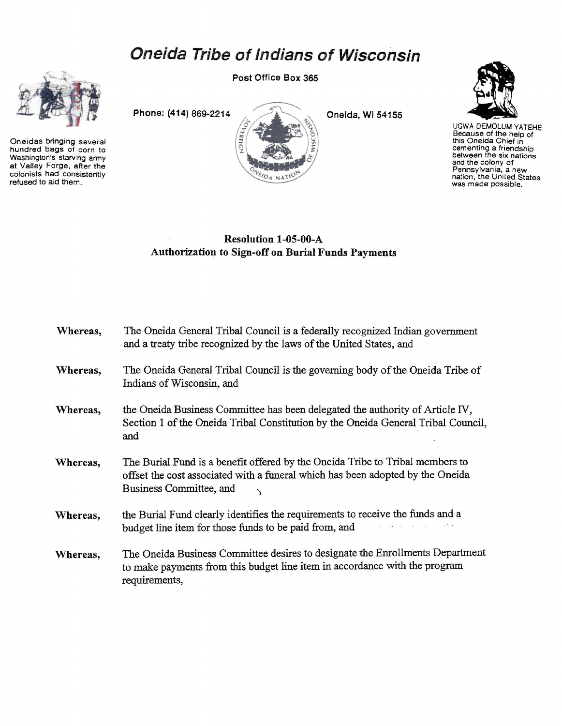## **Oneida Tribe of Indians of Wisconsin**



Oneidas bringing several hundred bags of corn to Washington's starving army at Valley Forge, after the colonists had consistently refused to aid them.

Post Office Box 365





UGWA DEMOL,UM YATEHE Because of the help of this Oneida Chief in cementing a friendship between the six nations and the colony of Pennsylvania, a new<br>nation, the United States<br>was made possible.

## Resolution 1-05-00-A Authorization to Sign-off on Burial Funds Payments

VEIDA NATIO

| Whereas, | The Oneida General Tribal Council is a federally recognized Indian government<br>and a treaty tribe recognized by the laws of the United States, and                                       |
|----------|--------------------------------------------------------------------------------------------------------------------------------------------------------------------------------------------|
| Whereas, | The Oneida General Tribal Council is the governing body of the Oneida Tribe of<br>Indians of Wisconsin, and                                                                                |
| Whereas, | the Oneida Business Committee has been delegated the authority of Article IV,<br>Section 1 of the Oneida Tribal Constitution by the Oneida General Tribal Council,<br>and                  |
| Whereas, | The Burial Fund is a benefit offered by the Oneida Tribe to Tribal members to<br>offset the cost associated with a funeral which has been adopted by the Oneida<br>Business Committee, and |
| Whereas, | the Burial Fund clearly identifies the requirements to receive the funds and a<br>budget line item for those funds to be paid from, and                                                    |
| Whereas, | The Oneida Business Committee desires to designate the Enrollments Department<br>to make payments from this budget line item in accordance with the program<br>requirements,               |